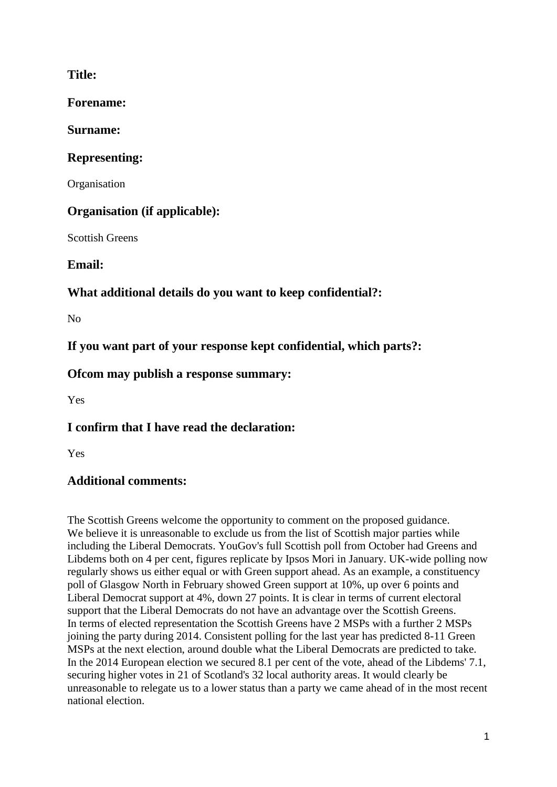## **Title:**

**Forename:**

**Surname:**

## **Representing:**

**Organisation** 

# **Organisation (if applicable):**

Scottish Greens

**Email:**

# **What additional details do you want to keep confidential?:**

 $N<sub>0</sub>$ 

**If you want part of your response kept confidential, which parts?:**

**Ofcom may publish a response summary:**

Yes

**I confirm that I have read the declaration:**

Yes

## **Additional comments:**

The Scottish Greens welcome the opportunity to comment on the proposed guidance. We believe it is unreasonable to exclude us from the list of Scottish major parties while including the Liberal Democrats. YouGov's full Scottish poll from October had Greens and Libdems both on 4 per cent, figures replicate by Ipsos Mori in January. UK-wide polling now regularly shows us either equal or with Green support ahead. As an example, a constituency poll of Glasgow North in February showed Green support at 10%, up over 6 points and Liberal Democrat support at 4%, down 27 points. It is clear in terms of current electoral support that the Liberal Democrats do not have an advantage over the Scottish Greens. In terms of elected representation the Scottish Greens have 2 MSPs with a further 2 MSPs joining the party during 2014. Consistent polling for the last year has predicted 8-11 Green MSPs at the next election, around double what the Liberal Democrats are predicted to take. In the 2014 European election we secured 8.1 per cent of the vote, ahead of the Libdems' 7.1, securing higher votes in 21 of Scotland's 32 local authority areas. It would clearly be unreasonable to relegate us to a lower status than a party we came ahead of in the most recent national election.